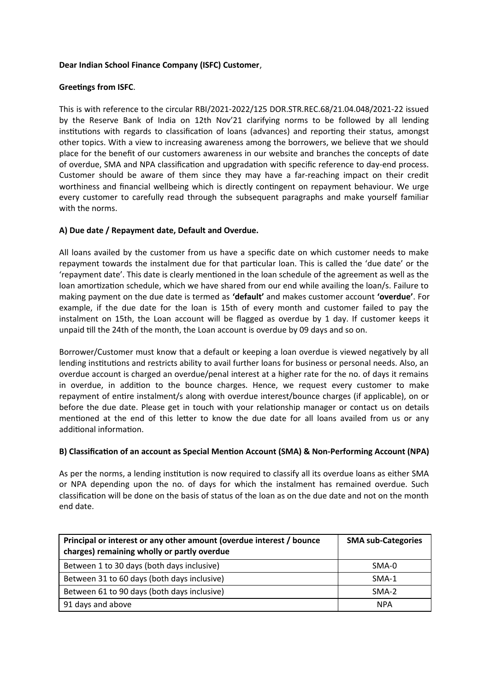# **Dear Indian School Finance Company (ISFC) Customer**,

## **Greetings from ISFC**.

This is with reference to the circular RBI/2021-2022/125 DOR.STR.REC.68/21.04.048/2021-22 issued by the Reserve Bank of India on 12th Nov'21 clarifying norms to be followed by all lending institutions with regards to classification of loans (advances) and reporting their status, amongst other topics. With a view to increasing awareness among the borrowers, we believe that we should place for the benefit of our customers awareness in our website and branches the concepts of date of overdue, SMA and NPA classification and upgradation with specific reference to day-end process. Customer should be aware of them since they may have a far-reaching impact on their credit worthiness and financial wellbeing which is directly contingent on repayment behaviour. We urge every customer to carefully read through the subsequent paragraphs and make yourself familiar with the norms.

## **A) Due date / Repayment date, Default and Overdue.**

All loans availed by the customer from us have a specific date on which customer needs to make repayment towards the instalment due for that particular loan. This is called the 'due date' or the 'repayment date'. This date is clearly mentioned in the loan schedule of the agreement as well as the loan amortization schedule, which we have shared from our end while availing the loan/s. Failure to making payment on the due date is termed as **'default'** and makes customer account **'overdue'**. For example, if the due date for the loan is 15th of every month and customer failed to pay the instalment on 15th, the Loan account will be flagged as overdue by 1 day. If customer keeps it unpaid till the 24th of the month, the Loan account is overdue by 09 days and so on.

Borrower/Customer must know that a default or keeping a loan overdue is viewed negatively by all lending institutions and restricts ability to avail further loans for business or personal needs. Also, an overdue account is charged an overdue/penal interest at a higher rate for the no. of days it remains in overdue, in addition to the bounce charges. Hence, we request every customer to make repayment of entire instalment/s along with overdue interest/bounce charges (if applicable), on or before the due date. Please get in touch with your relationship manager or contact us on details mentioned at the end of this letter to know the due date for all loans availed from us or any additional information.

#### **B) Classification of an account as Special Mention Account (SMA) & Non-Performing Account (NPA)**

As per the norms, a lending institution is now required to classify all its overdue loans as either SMA or NPA depending upon the no. of days for which the instalment has remained overdue. Such classification will be done on the basis of status of the loan as on the due date and not on the month end date.

| Principal or interest or any other amount (overdue interest / bounce<br>charges) remaining wholly or partly overdue | <b>SMA sub-Categories</b> |
|---------------------------------------------------------------------------------------------------------------------|---------------------------|
| Between 1 to 30 days (both days inclusive)                                                                          | SMA-0                     |
| Between 31 to 60 days (both days inclusive)                                                                         | SMA-1                     |
| Between 61 to 90 days (both days inclusive)                                                                         | SMA-2                     |
| 91 days and above                                                                                                   | <b>NPA</b>                |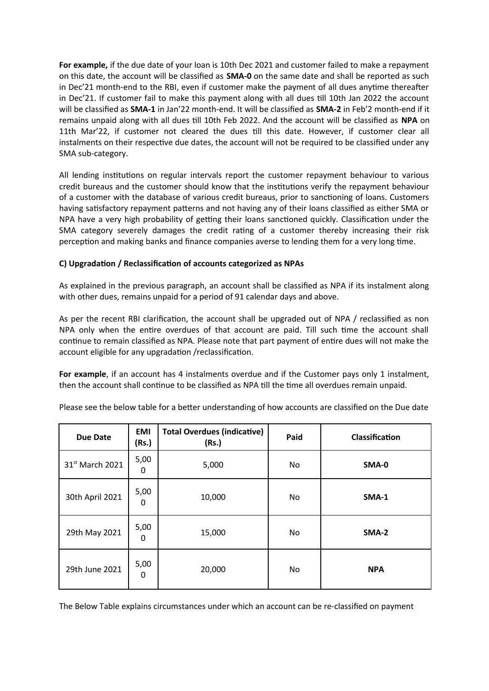**For example,** if the due date of your loan is 10th Dec 2021 and customer failed to make a repayment on this date, the account will be classified as **SMA-0** on the same date and shall be reported as such in Dec'21 month-end to the RBI, even if customer make the payment of all dues anytime thereafter in Dec'21. If customer fail to make this payment along with all dues till 10th Jan 2022 the account will be classified as **SMA-1** in Jan'22 month-end. It will be classified as **SMA-2** in Feb'2 month-end if it remains unpaid along with all dues till 10th Feb 2022. And the account will be classified as **NPA** on 11th Mar'22, if customer not cleared the dues till this date. However, if customer clear all instalments on their respective due dates, the account will not be required to be classified under any SMA sub-category.

All lending institutions on regular intervals report the customer repayment behaviour to various credit bureaus and the customer should know that the institutions verify the repayment behaviour of a customer with the database of various credit bureaus, prior to sanctioning of loans. Customers having satisfactory repayment patterns and not having any of their loans classified as either SMA or NPA have a very high probability of getting their loans sanctioned quickly. Classification under the SMA category severely damages the credit rating of a customer thereby increasing their risk perception and making banks and finance companies averse to lending them for a very long time.

## **C) Upgradation / Reclassification of accounts categorized as NPAs**

As explained in the previous paragraph, an account shall be classified as NPA if its instalment along with other dues, remains unpaid for a period of 91 calendar days and above.

As per the recent RBI clarification, the account shall be upgraded out of NPA / reclassified as non NPA only when the entire overdues of that account are paid. Till such time the account shall continue to remain classified as NPA. Please note that part payment of entire dues will not make the account eligible for any upgradation /reclassification.

**For example**, if an account has 4 instalments overdue and if the Customer pays only 1 instalment, then the account shall continue to be classified as NPA till the time all overdues remain unpaid.

| <b>Due Date</b>             | <b>EMI</b><br>(Rs.) | <b>Total Overdues (indicative)</b><br>(Rs.) | Paid | Classification |
|-----------------------------|---------------------|---------------------------------------------|------|----------------|
| 31 <sup>st</sup> March 2021 | 5,00<br>0           | 5,000                                       | No   | SMA-0          |
| 30th April 2021             | 5,00<br>0           | 10,000                                      | No   | SMA-1          |
| 29th May 2021               | 5,00<br>0           | 15,000                                      | No   | SMA-2          |
| 5,00<br>29th June 2021<br>0 |                     | 20,000                                      | No   | <b>NPA</b>     |

Please see the below table for a better understanding of how accounts are classified on the Due date

The Below Table explains circumstances under which an account can be re-classified on payment